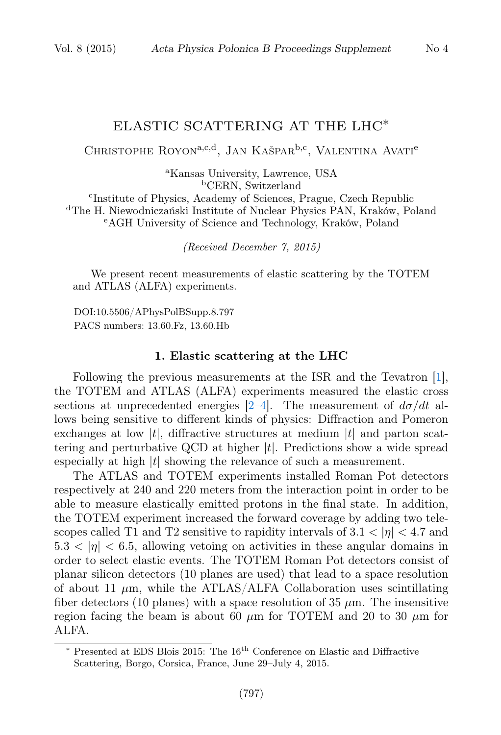## ELASTIC SCATTERING AT THE LHC∗

CHRISTOPHE ROYON<sup>a,c,d</sup>, JAN KAŠPAR<sup>b,c</sup>, VALENTINA AVATI<sup>e</sup>

<sup>a</sup>Kansas University, Lawrence, USA <sup>b</sup>CERN, Switzerland

c Institute of Physics, Academy of Sciences, Prague, Czech Republic <sup>d</sup>The H. Niewodniczański Institute of Nuclear Physics PAN, Kraków, Poland <sup>e</sup>AGH University of Science and Technology, Kraków, Poland

(Received December 7, 2015)

We present recent measurements of elastic scattering by the TOTEM and ATLAS (ALFA) experiments.

DOI:10.5506/APhysPolBSupp.8.797 PACS numbers: 13.60.Fz, 13.60.Hb

## 1. Elastic scattering at the LHC

Following the previous measurements at the ISR and the Tevatron [\[1\]](#page-4-0), the TOTEM and ATLAS (ALFA) experiments measured the elastic cross sections at unprecedented energies [\[2–](#page-4-1)[4\]](#page-4-2). The measurement of  $d\sigma/dt$  allows being sensitive to different kinds of physics: Diffraction and Pomeron exchanges at low |t|, diffractive structures at medium  $|t|$  and parton scattering and perturbative QCD at higher  $|t|$ . Predictions show a wide spread especially at high  $|t|$  showing the relevance of such a measurement.

The ATLAS and TOTEM experiments installed Roman Pot detectors respectively at 240 and 220 meters from the interaction point in order to be able to measure elastically emitted protons in the final state. In addition, the TOTEM experiment increased the forward coverage by adding two telescopes called T1 and T2 sensitive to rapidity intervals of  $3.1 < |\eta| < 4.7$  and  $5.3 < |\eta| < 6.5$ , allowing vetoing on activities in these angular domains in order to select elastic events. The TOTEM Roman Pot detectors consist of planar silicon detectors (10 planes are used) that lead to a space resolution of about 11  $\mu$ m, while the ATLAS/ALFA Collaboration uses scintillating fiber detectors (10 planes) with a space resolution of 35  $\mu$ m. The insensitive region facing the beam is about 60  $\mu$ m for TOTEM and 20 to 30  $\mu$ m for ALFA.

<sup>∗</sup> Presented at EDS Blois 2015: The 16th Conference on Elastic and Diffractive Scattering, Borgo, Corsica, France, June 29–July 4, 2015.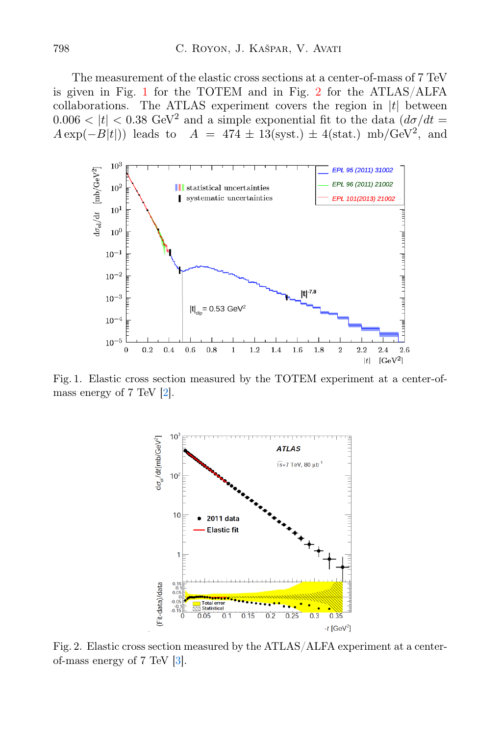The measurement of the elastic cross sections at a center-of-mass of 7 TeV is given in Fig. [1](#page-1-0) for the TOTEM and in Fig. [2](#page-1-1) for the ATLAS/ALFA collaborations. The ATLAS experiment covers the region in  $|t|$  between  $0.006 < |t| < 0.38$  GeV<sup>2</sup> and a simple exponential fit to the data  $(d\sigma/dt =$  $A \exp(-B|t|)$  leads to  $A = 474 \pm 13$ (syst.)  $\pm 4$ (stat.) mb/GeV<sup>2</sup>, and



<span id="page-1-0"></span>Fig. 1. Elastic cross section measured by the TOTEM experiment at a center-ofmass energy of 7 TeV [\[2\]](#page-4-1).



<span id="page-1-1"></span>Fig. 2. Elastic cross section measured by the ATLAS/ALFA experiment at a centerof-mass energy of 7 TeV [\[3\]](#page-4-3).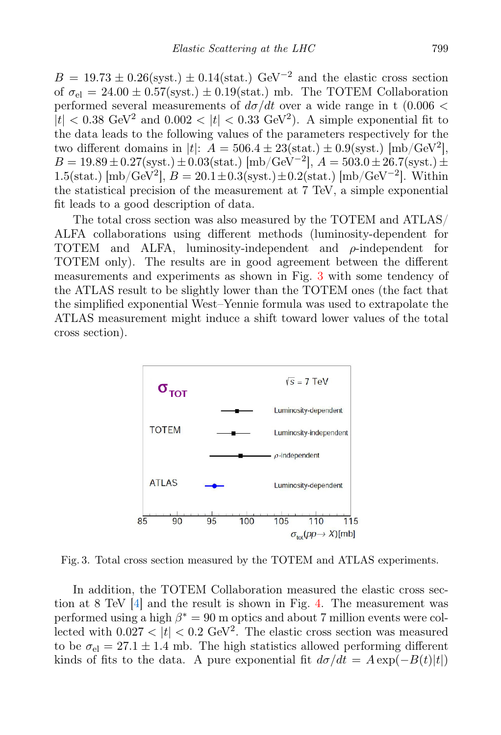$B = 19.73 \pm 0.26$ (syst.)  $\pm 0.14$ (stat.) GeV<sup>-2</sup> and the elastic cross section of  $\sigma_{el} = 24.00 \pm 0.57$ (syst.)  $\pm 0.19$ (stat.) mb. The TOTEM Collaboration performed several measurements of  $d\sigma/dt$  over a wide range in t (0.006 <  $|t| < 0.38$  GeV<sup>2</sup> and  $0.002 < |t| < 0.33$  GeV<sup>2</sup>). A simple exponential fit to the data leads to the following values of the parameters respectively for the two different domains in  $|t|$ :  $A = 506.4 \pm 23(\text{stat.}) \pm 0.9(\text{syst.})$  [mb/GeV<sup>2</sup>],  $B = 19.89 \pm 0.27$ (syst.)  $\pm 0.03$ (stat.) [mb/GeV<sup>-2</sup>],  $A = 503.0 \pm 26.7$ (syst.)  $\pm$ 1.5(stat.) [mb/GeV<sup>2</sup>],  $B = 20.1 \pm 0.3$ (syst.) $\pm 0.2$ (stat.) [mb/GeV<sup>-2</sup>]. Within the statistical precision of the measurement at 7 TeV, a simple exponential fit leads to a good description of data.

The total cross section was also measured by the TOTEM and ATLAS/ ALFA collaborations using different methods (luminosity-dependent for TOTEM and ALFA, luminosity-independent and ρ-independent for TOTEM only). The results are in good agreement between the different measurements and experiments as shown in Fig. [3](#page-2-0) with some tendency of the ATLAS result to be slightly lower than the TOTEM ones (the fact that the simplified exponential West–Yennie formula was used to extrapolate the ATLAS measurement might induce a shift toward lower values of the total cross section).



<span id="page-2-0"></span>Fig. 3. Total cross section measured by the TOTEM and ATLAS experiments.

In addition, the TOTEM Collaboration measured the elastic cross section at 8 TeV [\[4\]](#page-4-2) and the result is shown in Fig. [4.](#page-3-0) The measurement was performed using a high  $\beta^* = 90$  m optics and about 7 million events were collected with  $0.027 < |t| < 0.2$  GeV<sup>2</sup>. The elastic cross section was measured to be  $\sigma_{el} = 27.1 \pm 1.4$  mb. The high statistics allowed performing different kinds of fits to the data. A pure exponential fit  $d\sigma/dt = A \exp(-B(t)|t|)$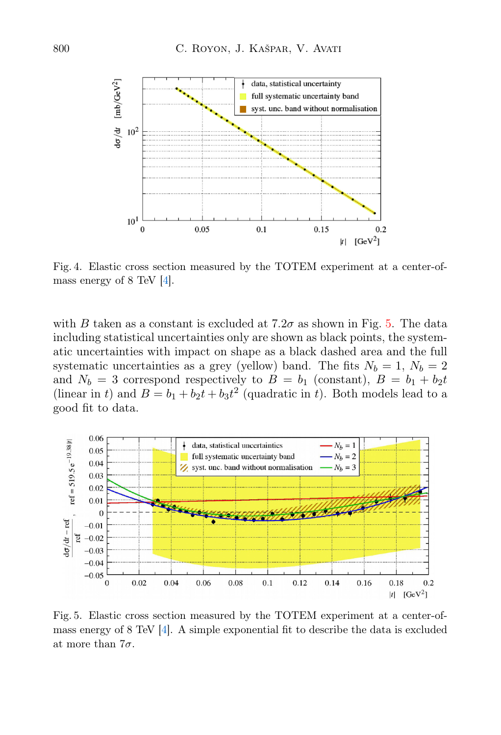

<span id="page-3-0"></span>Fig. 4. Elastic cross section measured by the TOTEM experiment at a center-ofmass energy of 8 TeV [\[4\]](#page-4-2).

with B taken as a constant is excluded at  $7.2\sigma$  as shown in Fig. [5.](#page-3-1) The data including statistical uncertainties only are shown as black points, the systematic uncertainties with impact on shape as a black dashed area and the full systematic uncertainties as a grey (yellow) band. The fits  $N_b = 1, N_b = 2$ and  $N_b = 3$  correspond respectively to  $B = b_1$  (constant),  $B = b_1 + b_2t$ (linear in t) and  $B = b_1 + b_2t + b_3t^2$  (quadratic in t). Both models lead to a good fit to data.



<span id="page-3-1"></span>Fig. 5. Elastic cross section measured by the TOTEM experiment at a center-ofmass energy of 8 TeV [\[4\]](#page-4-2). A simple exponential fit to describe the data is excluded at more than  $7\sigma$ .